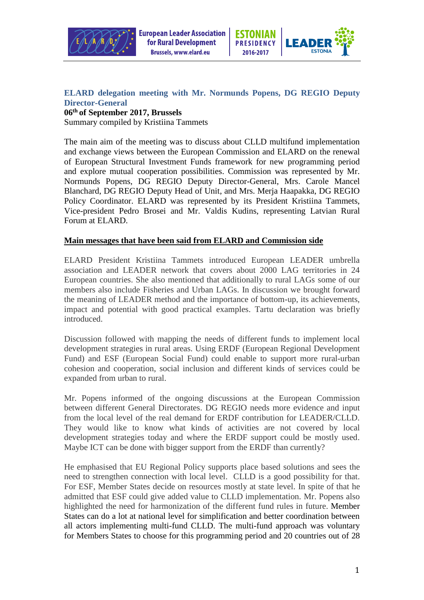



## **ELARD delegation meeting with Mr. Normunds Popens, DG REGIO Deputy Director-General**

## **06th of September 2017, Brussels**  Summary compiled by Kristiina Tammets

The main aim of the meeting was to discuss about CLLD multifund implementation and exchange views between the European Commission and ELARD on the renewal of European Structural Investment Funds framework for new programming period and explore mutual cooperation possibilities. Commission was represented by Mr. Normunds Popens, DG REGIO Deputy Director-General, Mrs. Carole Mancel Blanchard, DG REGIO Deputy Head of Unit, and Mrs. Merja Haapakka, DG REGIO Policy Coordinator. ELARD was represented by its President Kristiina Tammets, Vice-president Pedro Brosei and Mr. Valdis Kudins, representing Latvian Rural Forum at ELARD.

## **Main messages that have been said from ELARD and Commission side**

ELARD President Kristiina Tammets introduced European LEADER umbrella association and LEADER network that covers about 2000 LAG territories in 24 European countries. She also mentioned that additionally to rural LAGs some of our members also include Fisheries and Urban LAGs. In discussion we brought forward the meaning of LEADER method and the importance of bottom-up, its achievements, impact and potential with good practical examples. Tartu declaration was briefly introduced.

Discussion followed with mapping the needs of different funds to implement local development strategies in rural areas. Using ERDF (European Regional Development Fund) and ESF (European Social Fund) could enable to support more rural-urban cohesion and cooperation, social inclusion and different kinds of services could be expanded from urban to rural.

Mr. Popens informed of the ongoing discussions at the European Commission between different General Directorates. DG REGIO needs more evidence and input from the local level of the real demand for ERDF contribution for LEADER/CLLD. They would like to know what kinds of activities are not covered by local development strategies today and where the ERDF support could be mostly used. Maybe ICT can be done with bigger support from the ERDF than currently?

He emphasised that EU Regional Policy supports place based solutions and sees the need to strengthen connection with local level. CLLD is a good possibility for that. For ESF, Member States decide on resources mostly at state level. In spite of that he admitted that ESF could give added value to CLLD implementation. Mr. Popens also highlighted the need for harmonization of the different fund rules in future. Member States can do a lot at national level for simplification and better coordination between all actors implementing multi-fund CLLD. The multi-fund approach was voluntary for Members States to choose for this programming period and 20 countries out of 28